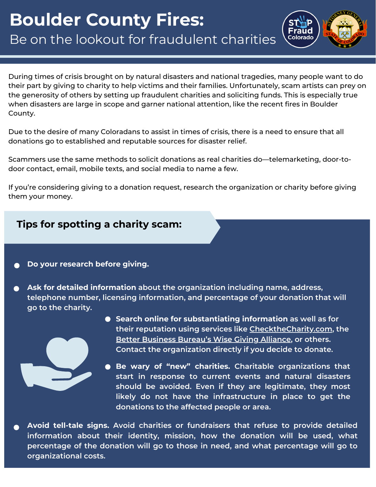## **Boulder County Fires:** Be on the lookout for fraudulent charities



During times of crisis brought on by natural disasters and national tragedies, many people want to do their part by giving to charity to help victims and their families. Unfortunately, scam artists can prey on the generosity of others by setting up fraudulent charities and soliciting funds. This is especially true when disasters are large in scope and garner national attention, like the recent fires in Boulder County.

Due to the desire of many Coloradans to assist in times of crisis, there is a need to ensure that all donations go to established and reputable sources for disaster relief.

Scammers use the same methods to solicit donations as real charities do—telemarketing, door-todoor contact, email, mobile texts, and social media to name a few.

If you're considering giving to a donation request, research the organization or charity before giving them your money.

## **Tips for spotting a charity scam:**

- **Do your research before giving.**
- **Ask for detailed information about the organization including name, address, telephone number, licensing information, and percentage of your donation that will go to the charity.**



- **Search online for substantiating information as well as for their reputation using services like [ChecktheCharity.com](https://www.sos.state.co.us/pubs/charities/check_the_charity.htm), the Better [Business](https://www.give.org/) Bureau's Wise Giving Alliance, or others. Contact the organization directly if you decide to donate.**
- **Be wary of "new" charities. Charitable organizations that start in response to current events and natural disasters should be avoided. Even if they are legitimate, they most likely do not have the infrastructure in place to get the donations to the affected people or area.**

**Avoid tell-tale signs. Avoid charities or fundraisers that refuse to provide detailed information about their identity, mission, how the donation will be used, what percentage of the donation will go to those in need, and what percentage will go to organizational costs.**